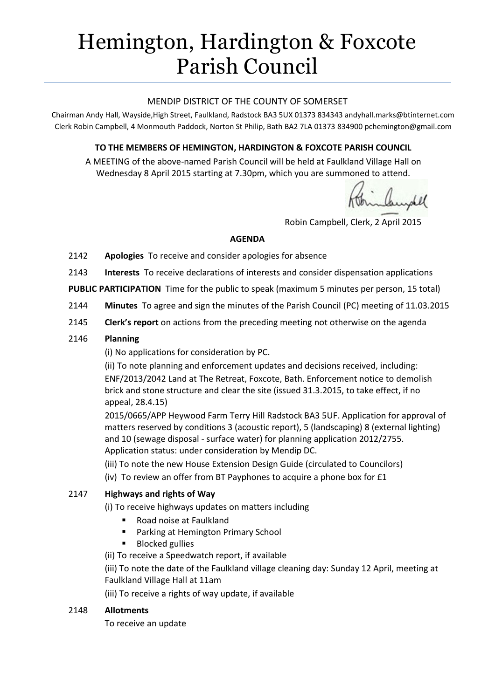# Hemington, Hardington & Foxcote Parish Council

#### MENDIP DISTRICT OF THE COUNTY OF SOMERSET

Chairman Andy Hall, Wayside,High Street, Faulkland, Radstock BA3 5UX 01373 834343 andyhall.marks@btinternet.com Clerk Robin Campbell, 4 Monmouth Paddock, Norton St Philip, Bath BA2 7LA 01373 83490[0 pchemington@gmail.com](mailto:pchemington@gmail.com)

# **TO THE MEMBERS OF HEMINGTON, HARDINGTON & FOXCOTE PARISH COUNCIL**

A MEETING of the above-named Parish Council will be held at Faulkland Village Hall on Wednesday 8 April 2015 starting at 7.30pm, which you are summoned to attend.

Robin Campbell, Clerk, 2 April 2015

#### **AGENDA**

- 2142 **Apologies** To receive and consider apologies for absence
- 2143 **Interests** To receive declarations of interests and consider dispensation applications
- **PUBLIC PARTICIPATION** Time for the public to speak (maximum 5 minutes per person, 15 total)
- 2144 **Minutes** To agree and sign the minutes of the Parish Council (PC) meeting of 11.03.2015
- 2145 **Clerk's report** on actions from the preceding meeting not otherwise on the agenda

#### 2146 **Planning**

(i) No applications for consideration by PC.

(ii) To note planning and enforcement updates and decisions received, including: ENF/2013/2042 Land at The Retreat, Foxcote, Bath. Enforcement notice to demolish brick and stone structure and clear the site (issued 31.3.2015, to take effect, if no appeal, 28.4.15)

2015/0665/APP Heywood Farm Terry Hill Radstock BA3 5UF. Application for approval of matters reserved by conditions 3 (acoustic report), 5 (landscaping) 8 (external lighting) and 10 (sewage disposal - surface water) for planning application 2012/2755. Application status: under consideration by Mendip DC.

- (iii) To note the new House Extension Design Guide (circulated to Councilors)
- (iv) To review an offer from BT Payphones to acquire a phone box for £1

## 2147 **Highways and rights of Way**

- (i) To receive highways updates on matters including
	- Road noise at Faulkland
	- **Parking at Hemington Primary School**
	- Blocked gullies
- (ii) To receive a Speedwatch report, if available

(iii) To note the date of the Faulkland village cleaning day: Sunday 12 April, meeting at Faulkland Village Hall at 11am

(iii) To receive a rights of way update, if available

#### 2148 **Allotments**

To receive an update